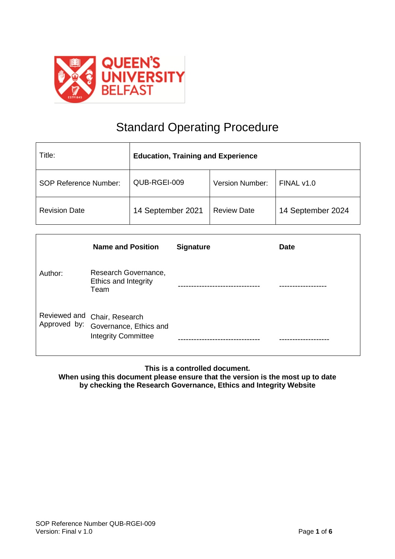

# Standard Operating Procedure

| Title:                       | <b>Education, Training and Experience</b> |                        |                   |  |
|------------------------------|-------------------------------------------|------------------------|-------------------|--|
| <b>SOP Reference Number:</b> | QUB-RGEI-009                              | <b>Version Number:</b> | FINAL v1.0        |  |
| <b>Revision Date</b>         | 14 September 2021                         | <b>Review Date</b>     | 14 September 2024 |  |

|              | <b>Name and Position</b>                                                             | <b>Signature</b> | <b>Date</b> |
|--------------|--------------------------------------------------------------------------------------|------------------|-------------|
| Author:      | Research Governance,<br>Ethics and Integrity<br>Team                                 |                  |             |
| Approved by: | Reviewed and Chair, Research<br>Governance, Ethics and<br><b>Integrity Committee</b> |                  |             |

**This is a controlled document.**

**When using this document please ensure that the version is the most up to date by checking the Research Governance, Ethics and Integrity Website**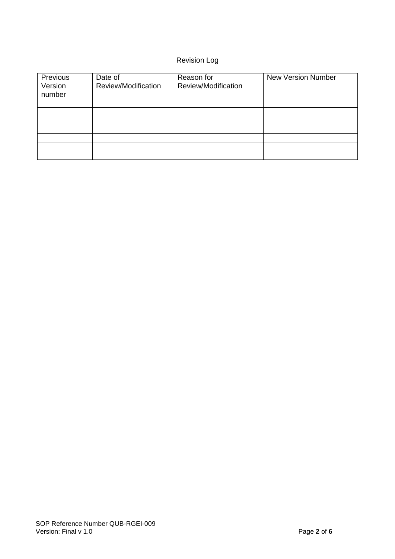# Revision Log

| Previous<br>Version<br>number | Date of<br>Review/Modification | Reason for<br>Review/Modification | <b>New Version Number</b> |
|-------------------------------|--------------------------------|-----------------------------------|---------------------------|
|                               |                                |                                   |                           |
|                               |                                |                                   |                           |
|                               |                                |                                   |                           |
|                               |                                |                                   |                           |
|                               |                                |                                   |                           |
|                               |                                |                                   |                           |
|                               |                                |                                   |                           |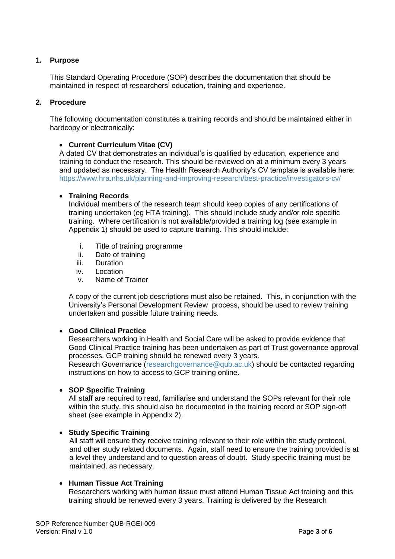# **1. Purpose**

This Standard Operating Procedure (SOP) describes the documentation that should be maintained in respect of researchers' education, training and experience.

# **2. Procedure**

The following documentation constitutes a training records and should be maintained either in hardcopy or electronically:

# **Current Curriculum Vitae (CV)**

A dated CV that demonstrates an individual's is qualified by education, experience and training to conduct the research. This should be reviewed on at a minimum every 3 years and updated as necessary. The Health Research Authority's CV template is available here: <https://www.hra.nhs.uk/planning-and-improving-research/best-practice/investigators-cv/>

#### **Training Records**

Individual members of the research team should keep copies of any certifications of training undertaken (eg HTA training). This should include study and/or role specific training. Where certification is not available/provided a training log (see example in Appendix 1) should be used to capture training. This should include:

- i. Title of training programme
- ii. Date of training
- iii. Duration
- iv. Location
- v. Name of Trainer

A copy of the current job descriptions must also be retained. This, in conjunction with the University's Personal Development Review process, should be used to review training undertaken and possible future training needs.

#### **Good Clinical Practice**

Researchers working in Health and Social Care will be asked to provide evidence that Good Clinical Practice training has been undertaken as part of Trust governance approval processes. GCP training should be renewed every 3 years.

Research Governance [\(researchgovernance@qub.ac.uk\)](mailto:researchgovernance@qub.ac.uk) should be contacted regarding instructions on how to access to GCP training online.

# **SOP Specific Training**

All staff are required to read, familiarise and understand the SOPs relevant for their role within the study, this should also be documented in the training record or SOP sign-off sheet (see example in Appendix 2).

#### **• Study Specific Training**

All staff will ensure they receive training relevant to their role within the study protocol, and other study related documents. Again, staff need to ensure the training provided is at a level they understand and to question areas of doubt. Study specific training must be maintained, as necessary.

#### **Human Tissue Act Training**

Researchers working with human tissue must attend Human Tissue Act training and this training should be renewed every 3 years. Training is delivered by the Research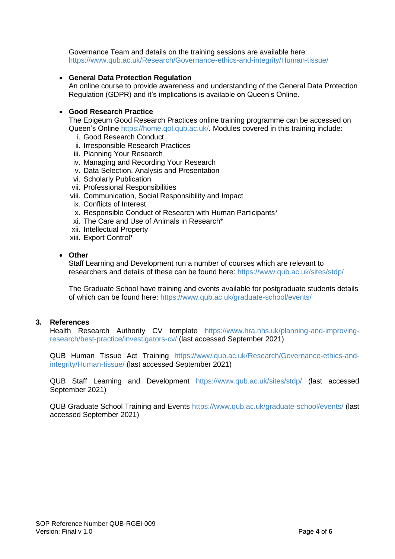Governance Team and details on the training sessions are available here: <https://www.qub.ac.uk/Research/Governance-ethics-and-integrity/Human-tissue/>

# **General Data Protection Regulation**

An online course to provide awareness and understanding of the General Data Protection Regulation (GDPR) and it's implications is available on Queen's Online.

#### **Good Research Practice**

The Epigeum Good Research Practices online training programme can be accessed on Queen's Online [https://home.qol.qub.ac.uk/.](https://home.qol.qub.ac.uk/) Modules covered in this training include:

- i. Good Research Conduct ,
- ii. Irresponsible Research Practices
- iii. Planning Your Research
- iv. Managing and Recording Your Research
- v. Data Selection, Analysis and Presentation
- vi. Scholarly Publication
- vii. Professional Responsibilities
- viii. Communication, Social Responsibility and Impact
- ix. Conflicts of Interest
- x. Responsible Conduct of Research with Human Participants\*
- xi. The Care and Use of Animals in Research\*
- xii. Intellectual Property
- xiii. Export Control\*

#### **Other**

Staff Learning and Development run a number of courses which are relevant to researchers and details of these can be found here:<https://www.qub.ac.uk/sites/stdp/>

The Graduate School have training and events available for postgraduate students details of which can be found here:<https://www.qub.ac.uk/graduate-school/events/>

#### **3. References**

Health Research Authority CV template [https://www.hra.nhs.uk/planning-and-improving](https://www.hra.nhs.uk/planning-and-improving-research/best-practice/investigators-cv/)[research/best-practice/investigators-cv/](https://www.hra.nhs.uk/planning-and-improving-research/best-practice/investigators-cv/) (last accessed September 2021)

QUB Human Tissue Act Training [https://www.qub.ac.uk/Research/Governance-ethics-and](https://www.qub.ac.uk/Research/Governance-ethics-and-integrity/Human-tissue/)[integrity/Human-tissue/](https://www.qub.ac.uk/Research/Governance-ethics-and-integrity/Human-tissue/) (last accessed September 2021)

QUB Staff Learning and Development <https://www.qub.ac.uk/sites/stdp/> (last accessed September 2021)

QUB Graduate School Training and Events<https://www.qub.ac.uk/graduate-school/events/> (last accessed September 2021)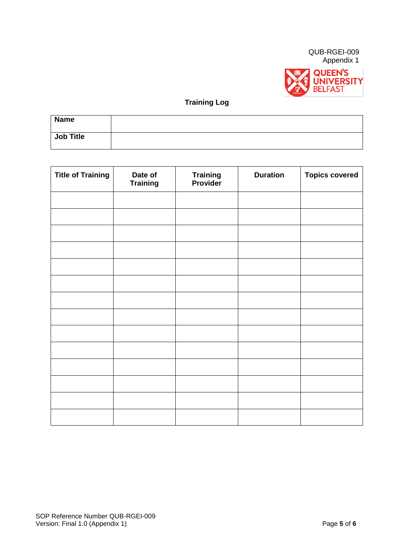



# **Training Log**

| <b>Name</b>      |  |
|------------------|--|
| <b>Job Title</b> |  |

| <b>Title of Training</b> | Date of<br><b>Training</b> | <b>Training</b><br><b>Provider</b> | <b>Duration</b> | <b>Topics covered</b> |
|--------------------------|----------------------------|------------------------------------|-----------------|-----------------------|
|                          |                            |                                    |                 |                       |
|                          |                            |                                    |                 |                       |
|                          |                            |                                    |                 |                       |
|                          |                            |                                    |                 |                       |
|                          |                            |                                    |                 |                       |
|                          |                            |                                    |                 |                       |
|                          |                            |                                    |                 |                       |
|                          |                            |                                    |                 |                       |
|                          |                            |                                    |                 |                       |
|                          |                            |                                    |                 |                       |
|                          |                            |                                    |                 |                       |
|                          |                            |                                    |                 |                       |
|                          |                            |                                    |                 |                       |
|                          |                            |                                    |                 |                       |